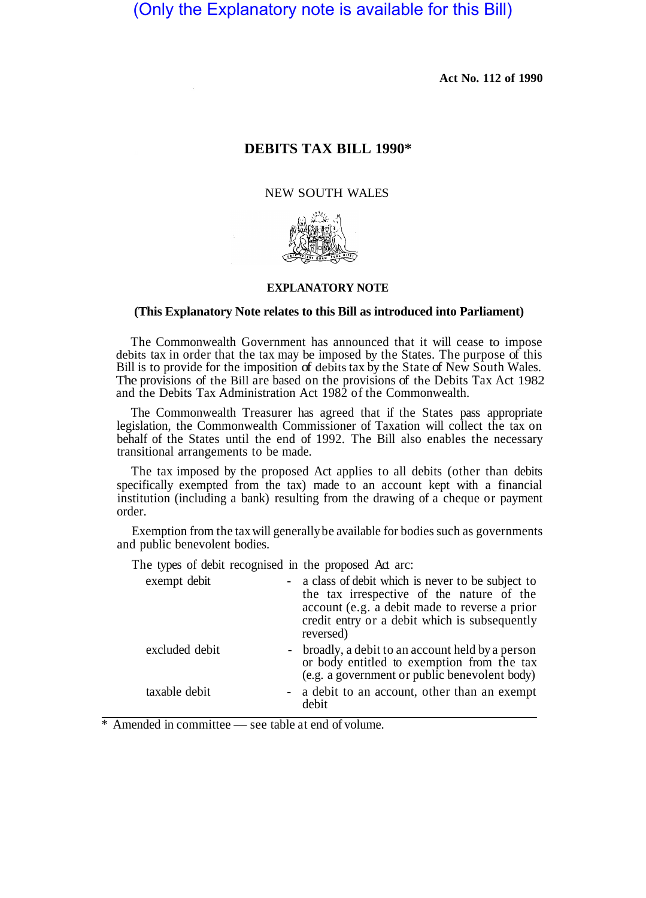(Only the Explanatory note is available for this Bill)

**Act No. 112 of 1990** 

# **DEBITS TAX BILL 1990\***

#### NEW SOUTH WALES



#### **EXPLANATORY NOTE**

#### **(This Explanatory Note relates to this Bill as introduced into Parliament)**

The Commonwealth Government has announced that it will cease to impose debits tax in order that the tax may be imposed by the States. The purpose of this Bill is to provide for the imposition of debits tax by the State of New South Wales. The provisions of the Bill are based on the provisions of the Debits Tax Act 1982 and the Debits Tax Administration Act 1982 of the Commonwealth.

The Commonwealth Treasurer has agreed that if the States pass appropriate legislation, the Commonwealth Commissioner of Taxation will collect the tax on behalf of the States until the end of 1992. The Bill also enables the necessary transitional arrangements to be made.

The tax imposed by the proposed Act applies to all debits (other than debits specifically exempted from the tax) made to an account kept with a financial institution (including a bank) resulting from the drawing of a cheque or payment order.

Exemption from the tax will generally be available for bodies such as governments and public benevolent bodies.

The types of debit recognised in the proposed Act arc:

| exempt debit   | - a class of debit which is never to be subject to<br>the tax irrespective of the nature of the<br>account (e.g. a debit made to reverse a prior<br>credit entry or a debit which is subsequently<br>reversed) |
|----------------|----------------------------------------------------------------------------------------------------------------------------------------------------------------------------------------------------------------|
| excluded debit | - broadly, a debit to an account held by a person<br>or body entitled to exemption from the tax<br>(e.g. a government or public benevolent body)                                                               |
| taxable debit  | - a debit to an account, other than an exempt<br>debit                                                                                                                                                         |

Amended in committee — see table at end of volume.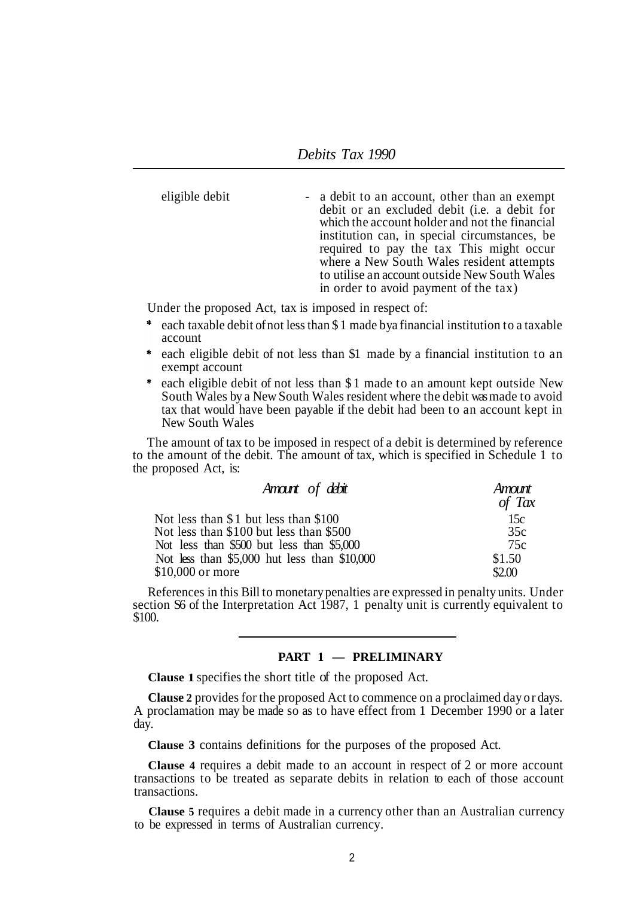eligible debit  $\qquad \qquad$  - a debit to an account, other than an exempt debit or an excluded debit (i.e. a debit for which the account holder and not the financial institution can, in special circumstances, be required to pay the tax This might occur where a New South Wales resident attempts to utilise an account outside New South Wales in order to avoid payment of the tax)

Under the proposed Act, tax is imposed in respect of:

- \* each taxable debit of not less than \$1 made by a financial institution to a taxable account
- each eligible debit of not less than \$1 made by a financial institution to an exempt account
- each eligible debit of not less than \$1 made to an amount kept outside New South Wales by a New South Wales resident where the debit was made to avoid tax that would have been payable if the debit had been to an account kept in New South Wales

The amount of tax to be imposed in respect of a debit is determined by reference to the amount of the debit. The amount of tax, which is specified in Schedule 1 to the proposed Act, is:

| Amount of debit                              | Amount<br>of Tax |
|----------------------------------------------|------------------|
| Not less than \$1 but less than \$100        | 15c              |
| Not less than \$100 but less than \$500      | 35c              |
| Not less than \$500 but less than \$5,000    | 75c              |
| Not less than \$5,000 hut less than \$10,000 | \$1.50           |
| \$10,000 or more                             | \$2.00           |

References in this Bill to monetary penalties are expressed in penalty units. Under section S6 of the Interpretation Act 1987, 1 penalty unit is currently equivalent to \$100.

### **PART 1 — PRELIMINARY**

**Clause 1** specifies the short title of the proposed Act.

**Clause 2** provides for the proposed Act to commence on a proclaimed day or days. A proclamation may be made so as to have effect from 1 December 1990 or a later day.

**Clause 3** contains definitions for the purposes of the proposed Act.

**Clause 4** requires a debit made to an account in respect of 2 or more account transactions to be treated as separate debits in relation to each of those account transactions.

**Clause 5** requires a debit made in a currency other than an Australian currency to be expressed in terms of Australian currency.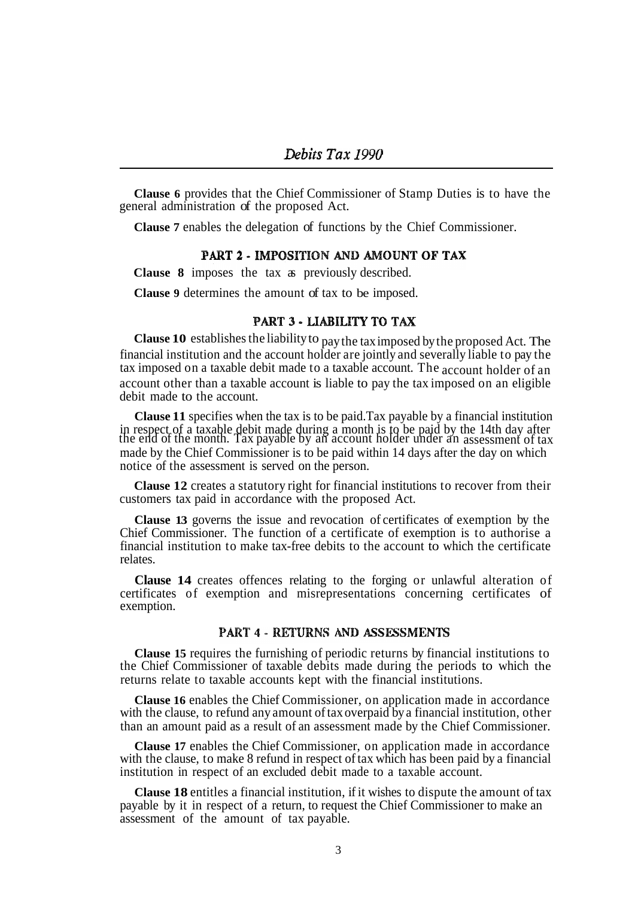**Clause 6** provides that the Chief Commissioner of Stamp Duties is to have the general administration of the proposed Act.

**Clause 7** enables the delegation of functions by the Chief Commissioner.

#### PART 2 - IMPOSITION AND AMOUNT OF TAX

**Clause 8** imposes the tax as previously described.

**Clause 9** determines the amount of tax to be imposed.

### PART 3 - LIABILITY TO TAX

**Clause 10** establishes the liability to pay the tax imposed by the proposed Act. The financial institution and the account holder are jointly and severally liable to pay the tax imposed on a taxable debit made to a taxable account. The account holder of an account other than a taxable account is liable to pay the tax imposed on an eligible debit made to the account.

**Clause 11** specifies when the tax is to be paid.Tax payable by a financial institution in respect of a taxable debit made during a month is to be paid by the 14th day after the end of the month. Tax payable by an account holder under an assessment of tax made by the Chief Commissioner is to be paid within 14 days after the day on which notice of the assessment is served on the person.

**Clause 12** creates a statutory right for financial institutions to recover from their customers tax paid in accordance with the proposed Act.

**Clause 13** governs the issue and revocation of certificates of exemption by the Chief Commissioner. The function of a certificate of exemption is to authorise a financial institution to make tax-free debits to the account to which the certificate relates.

**Clause 14** creates offences relating to the forging or unlawful alteration of certificates of exemption and misrepresentations concerning certificates of exemption.

#### **PART 4 - RETURNS AND ASSESSMENTS**

**Clause 15** requires the furnishing of periodic returns by financial institutions to the Chief Commissioner of taxable debits made during the periods to which the returns relate to taxable accounts kept with the financial institutions.

**Clause 16** enables the Chief Commissioner, on application made in accordance with the clause, to refund any amount of tax overpaid by a financial institution, other than an amount paid as a result of an assessment made by the Chief Commissioner.

**Clause 17** enables the Chief Commissioner, on application made in accordance with the clause, to make 8 refund in respect of tax which has been paid by a financial institution in respect of an excluded debit made to a taxable account.

**Clause 18** entitles a financial institution, if it wishes to dispute the amount of tax payable by it in respect of a return, to request the Chief Commissioner to make an assessment of the amount of tax payable.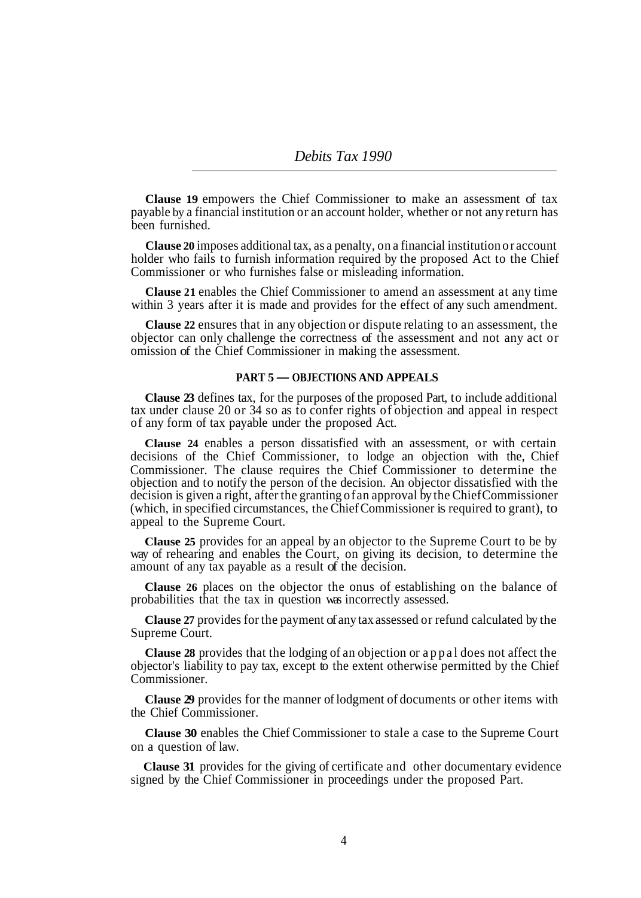**Clause 19** empowers the Chief Commissioner to make an assessment of tax payable by a financial institution or an account holder, whether or not any return has been furnished.

**Clause 20** imposes additional tax, as a penalty, on a financial institution or account holder who fails to furnish information required by the proposed Act to the Chief Commissioner or who furnishes false or misleading information.

**Clause 21** enables the Chief Commissioner to amend an assessment at any time within 3 years after it is made and provides for the effect of any such amendment.

**Clause 22** ensures that in any objection or dispute relating to an assessment, the objector can only challenge the correctness of the assessment and not any act or omission of the Chief Commissioner in making the assessment.

### **PART 5** *—* **OBJECTIONS AND APPEALS**

**Clause 23** defines tax, for the purposes of the proposed Part, to include additional tax under clause 20 or 34 so as to confer rights of objection and appeal in respect of any form of tax payable under the proposed Act.

**Clause 24** enables a person dissatisfied with an assessment, or with certain decisions of the Chief Commissioner, to lodge an objection with the, Chief Commissioner. The clause requires the Chief Commissioner to determine the objection and to notify the person of the decision. An objector dissatisfied with the decision is given a right, after the granting of an approval by the Chief Commissioner (which, in specified circumstances, the Chief Commissioner is required to grant), to appeal to the Supreme Court.

**Clause 25** provides for an appeal by an objector to the Supreme Court to be by way of rehearing and enables the Court, on giving its decision, to determine the amount of any tax payable as a result of the decision.

**Clause 26** places on the objector the onus of establishing on the balance of probabilities that the tax in question was incorrectly assessed.

**Clause 27** provides for the payment of any tax assessed or refund calculated by the Supreme Court.

**Clause 28** provides that the lodging of an objection or appal does not affect the objector's liability to pay tax, except to the extent otherwise permitted by the Chief Commissioner.

**Clause 29** provides for the manner of lodgment of documents or other items with the Chief Commissioner.

**Clause 30** enables the Chief Commissioner to stale a case to the Supreme Court on a question of law.

**Clause 31** provides for the giving of certificate and other documentary evidence signed by the Chief Commissioner in proceedings under the proposed Part.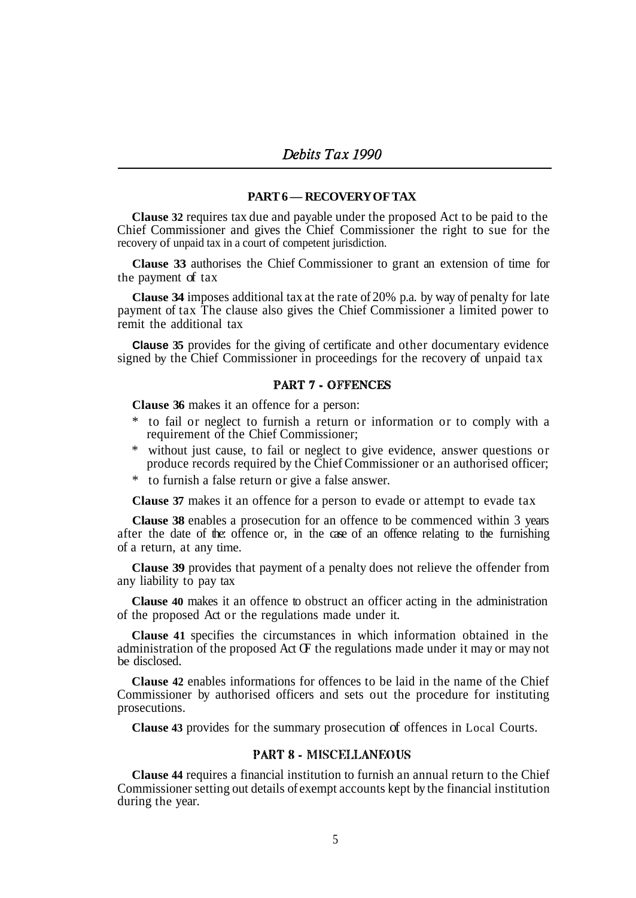#### **PART 6 — RECOVERY OF TAX**

**Clause 32** requires tax due and payable under the proposed Act to be paid to the Chief Commissioner and gives the Chief Commissioner the right to sue for the recovery of unpaid tax in a court of competent jurisdiction.

**Clause 33** authorises the Chief Commissioner to grant an extension of time for the payment of tax

**Clause 34** imposes additional tax at the rate of 20% p.a. by way of penalty for late payment of tax The clause also gives the Chief Commissioner a limited power to remit the additional tax

**Clause 35** provides for the giving of certificate and other documentary evidence signed by the Chief Commissioner in proceedings for the recovery of unpaid tax

## **PART 7 - OFFENCES**

**Clause 36** makes it an offence for a person:

- \* to fail or neglect to furnish a return or information or to comply with a requirement of the Chief Commissioner;
- \* without just cause, to fail or neglect to give evidence, answer questions or produce records required by the Chief Commissioner or an authorised officer;
- \* to furnish a false return or give a false answer.

**Clause 37** makes it an offence for a person to evade or attempt to evade tax

**Clause 38** enables a prosecution for an offence to be commenced within 3 years after the date of the: offence or, in the case of an offence relating to the furnishing of a return, at any time.

**Clause 39** provides that payment of a penalty does not relieve the offender from any liability to pay tax

**Clause 40** makes it an offence to obstruct an officer acting in the administration of the proposed Act or the regulations made under it.

**Clause 41** specifies the circumstances in which information obtained in the administration of the proposed Act  $\times$  the regulations made under it may or may not be disclosed.

**Clause 42** enables informations for offences to be laid in the name of the Chief Commissioner by authorised officers and sets out the procedure for instituting prosecutions.

**Clause 43** provides for the summary prosecution of offences in Local Courts.

### **PART 8 - MISCELLANEOUS**

**Clause 44** requires a financial institution to furnish an annual return to the Chief Commissioner setting out details of exempt accounts kept by the financial institution during the year.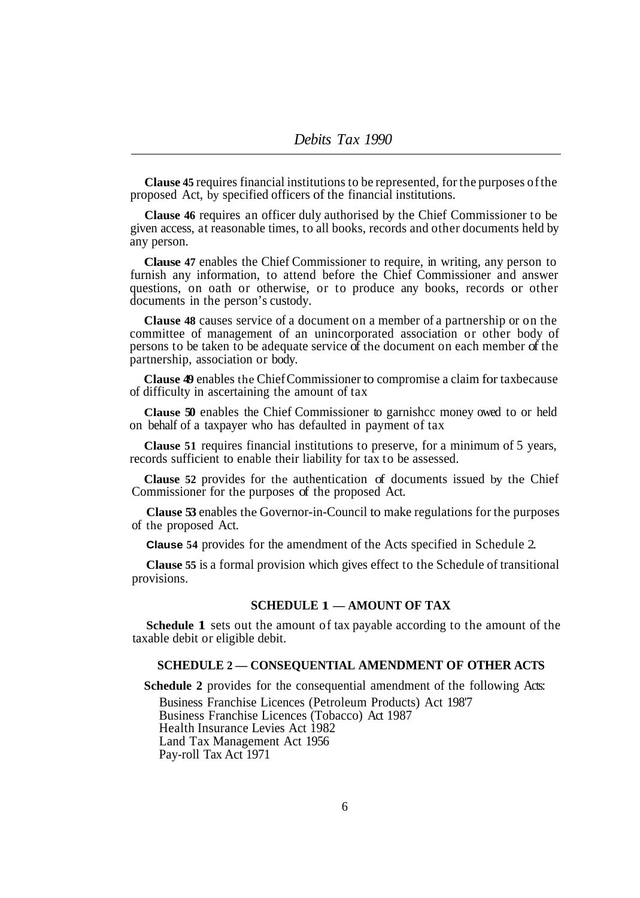**Clause 45** requires financial institutions to be represented, for the purposes of the proposed Act, by specified officers of the financial institutions.

**Clause 46** requires an officer duly authorised by the Chief Commissioner to be given access, at reasonable times, to all books, records and other documents held by any person.

**Clause 47** enables the Chief Commissioner to require, in writing, any person to furnish any information, to attend before the Chief Commissioner and answer questions, on oath or otherwise, or to produce any books, records or other documents in the person's custody.

**Clause 48** causes service of a document on a member of a partnership or on the committee of management of an unincorporated association or other body of persons to be taken to be adequate service of the document on each member of the partnership, association or body.

**Clause 49** enables the Chief Commissioner to compromise a claim for tax because of difficulty in ascertaining the amount of tax

**Clause 50** enables the Chief Commissioner to garnishcc money owed to or held on behalf of a taxpayer who has defaulted in payment of tax

**Clause 51** requires financial institutions to preserve, for a minimum of 5 years, records sufficient to enable their liability for tax to be assessed.

**Clause 52** provides for the authentication of documents issued by the Chief Commissioner for the purposes of the proposed Act.

**Clause 53** enables the Governor-in-Council to make regulations for the purposes of the proposed Act.

**Clause 54** provides for the amendment of the Acts specified in Schedule 2.

**Clause 55** is a formal provision which gives effect to the Schedule of transitional provisions.

## **SCHEDULE 1 — AMOUNT OF TAX**

**Schedule 1** sets out the amount of tax payable according to the amount of the taxable debit or eligible debit.

### **SCHEDULE 2 — CONSEQUENTIAL AMENDMENT OF OTHER ACTS**

**Schedule 2** provides for the consequential amendment of the following Acts: Business Franchise Licences (Petroleum Products) Act 198'7 Business Franchise Licences (Tobacco) Act 1987 Health Insurance Levies Act 1982 Land Tax Management Act 1956 Pay-roll Tax Act 1971